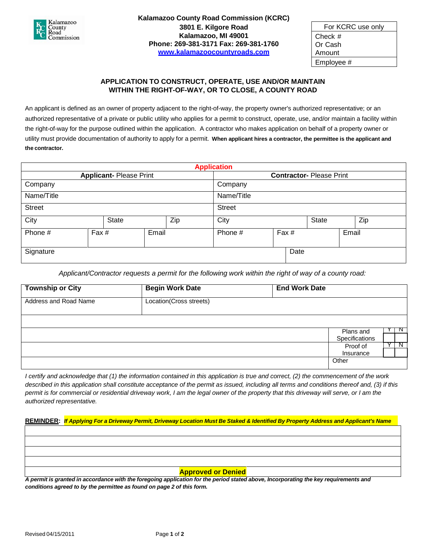

| For KCRC use only |  |
|-------------------|--|
| Check $#$         |  |
| Or Cash           |  |
| Amount            |  |
| Employee #        |  |

## **APPLICATION TO CONSTRUCT, OPERATE, USE AND/OR MAINTAIN WITHIN THE RIGHT-OF-WAY, OR TO CLOSE, A COUNTY ROAD**

An applicant is defined as an owner of property adjacent to the right-of-way, the property owner's authorized representative; or an authorized representative of a private or public utility who applies for a permit to construct, operate, use, and/or maintain a facility within the right-of-way for the purpose outlined within the application. A contractor who makes application on behalf of a property owner or utility must provide documentation of authority to apply for a permit. **When applicant hires a contractor, the permittee is the applicant and the contractor.**

| <b>Application</b>            |       |       |       |                                |         |       |  |       |  |  |  |
|-------------------------------|-------|-------|-------|--------------------------------|---------|-------|--|-------|--|--|--|
| <b>Applicant-Please Print</b> |       |       |       | <b>Contractor-Please Print</b> |         |       |  |       |  |  |  |
| Company                       |       |       |       | Company                        |         |       |  |       |  |  |  |
| Name/Title                    |       |       |       | Name/Title                     |         |       |  |       |  |  |  |
| <b>Street</b>                 |       |       |       | <b>Street</b>                  |         |       |  |       |  |  |  |
| City                          |       | State |       | Zip                            | City    | State |  | Zip   |  |  |  |
| Phone #                       | Fax # |       | Email |                                | Phone # | Fax # |  | Email |  |  |  |
| Signature                     |       |       |       |                                |         | Date  |  |       |  |  |  |

*Applicant/Contractor requests a permit for the following work within the right of way of a county road:*

| <b>Township or City</b> | <b>Begin Work Date</b>  | <b>End Work Date</b> |                |   |
|-------------------------|-------------------------|----------------------|----------------|---|
| Address and Road Name   | Location(Cross streets) |                      |                |   |
|                         |                         |                      |                |   |
|                         |                         |                      | Plans and      | N |
|                         |                         |                      | Specifications |   |
|                         |                         |                      | Proof of       | N |
|                         |                         |                      | Insurance      |   |
|                         |                         |                      | Other          |   |
|                         |                         |                      |                |   |

I certify and acknowledge that (1) the information contained in this application is true and correct, (2) the commencement of the work described in this application shall constitute acceptance of the permit as issued, including all terms and conditions thereof and, (3) if this permit is for commercial or residential driveway work, I am the legal owner of the property that this driveway will serve, or I am the *authorized representative.*

<u>REMINDER</u>: If Applying For a Driveway Permit, Driveway Location Must Be Staked & Identified By Property Address and Applicant's Name

## **Approved or Denied**

A permit is granted in accordance with the foregoing application for the period stated above, Incorporating the key requirements and *conditions agreed to by the permittee as found on page 2 of this form.*